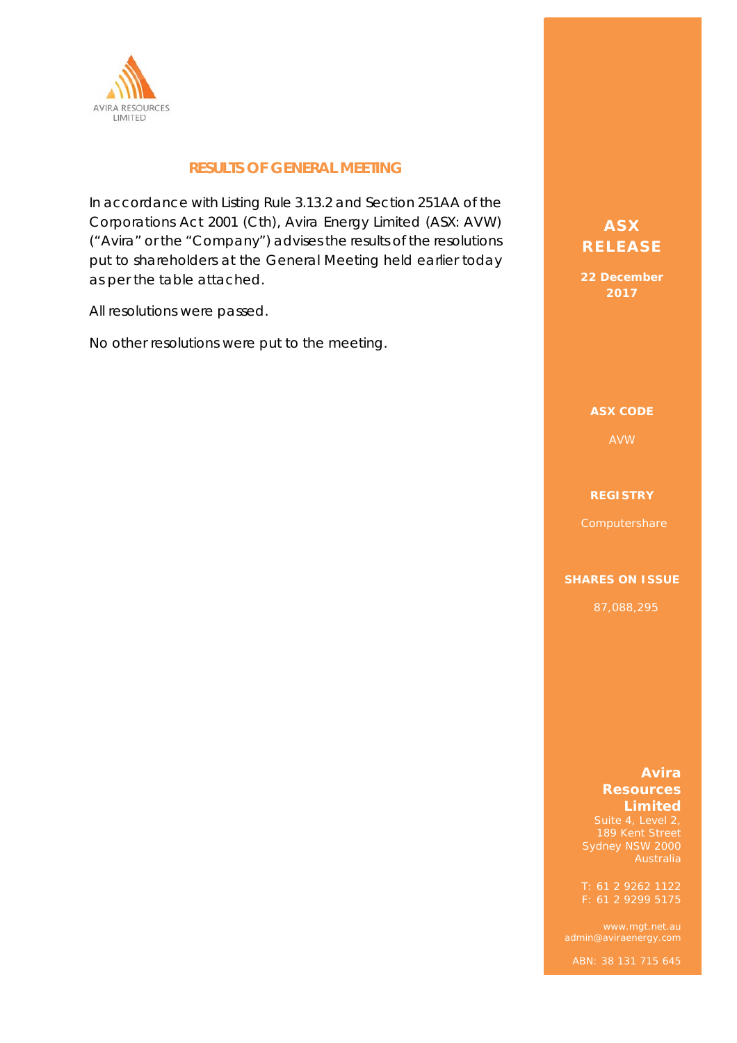

## **RESULTS OF GENERAL MEETING**

In accordance with Listing Rule 3.13.2 and Section 251AA of the Corporations Act 2001 (Cth), Avira Energy Limited (ASX: AVW) ("Avira" or the "Company") advises the results of the resolutions put to shareholders at the General Meeting held earlier today as per the table attached.

All resolutions were passed.

No other resolutions were put to the meeting.

# **ASX ASX RELEASE RELEASE**

**22 December 22 December 2017 2017** 

**ASX CODE ASX CODE** 

### **REGISTRY REGISTRY**

#### **SHARES ON ISSUE SHARES ON ISSUE**

87,088,295 87,088,295

### **AVIRA ENERGY Avira Resources 13.05/109 Pitted**

 $S<sub>u</sub>$ ita 1 I aval 2 Suite 4, Level 2,<br>189 Kent Street 189 Kent Street Sydney NSW 2000

admin@aviraenergy.com